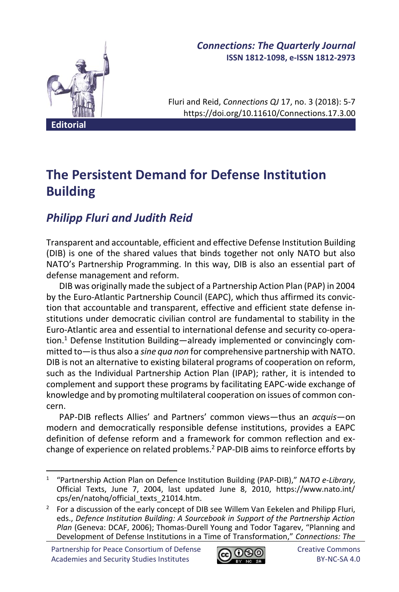

### *Connections: The Quarterly Journal* **ISSN 1812-1098, e-ISSN 1812-2973**

Fluri and Reid, *Connections QJ* 17, no. 3 (2018): 5-7 https://doi.org/10.11610/Connections.17.3.00

# **The Persistent Demand for Defense Institution Building**

## *Philipp Fluri and Judith Reid*

Transparent and accountable, efficient and effective Defense Institution Building (DIB) is one of the shared values that binds together not only NATO but also NATO's Partnership Programming. In this way, DIB is also an essential part of defense management and reform.

DIB was originally made the subject of a Partnership Action Plan (PAP) in 2004 by the Euro-Atlantic Partnership Council (EAPC), which thus affirmed its conviction that accountable and transparent, effective and efficient state defense institutions under democratic civilian control are fundamental to stability in the Euro-Atlantic area and essential to international defense and security co-operation.<sup>1</sup> Defense Institution Building—already implemented or convincingly committed to—is thus also a *sine qua non* for comprehensive partnership with NATO. DIB is not an alternative to existing bilateral programs of cooperation on reform, such as the Individual Partnership Action Plan (IPAP); rather, it is intended to complement and support these programs by facilitating EAPC-wide exchange of knowledge and by promoting multilateral cooperation on issues of common concern.

PAP-DIB reflects Allies' and Partners' common views—thus an *acquis*—on modern and democratically responsible defense institutions, provides a EAPC definition of defense reform and a framework for common reflection and exchange of experience on related problems.<sup>2</sup> PAP-DIB aims to reinforce efforts by



<sup>1</sup> "Partnership Action Plan on Defence Institution Building (PAP-DIB)," *NATO e-Library*, Official Texts, June 7, 2004, last updated June 8, 2010, https://www.nato.int/ cps/en/natohq/official\_texts\_21014.htm.

 $2$  For a discussion of the early concept of DIB see Willem Van Eekelen and Philipp Fluri, eds., *Defence Institution Building: A Sourcebook in Support of the Partnership Action Plan* (Geneva: DCAF, 2006); Thomas-Durell Young and Todor Tagarev, "Planning and Development of Defense Institutions in a Time of Transformation," *Connections: The*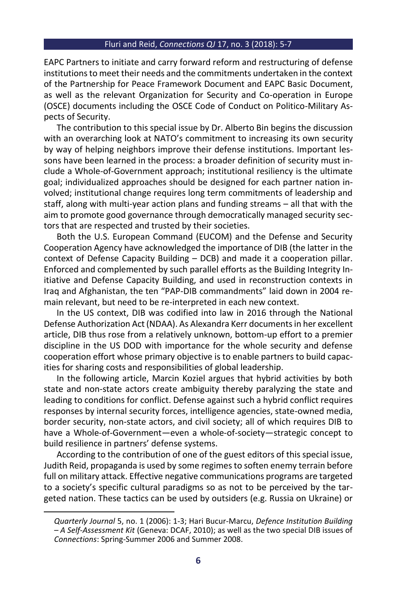#### Fluri and Reid, *Connections QJ* 17, no. 3 (2018): 5-7

EAPC Partners to initiate and carry forward reform and restructuring of defense institutions to meet their needs and the commitments undertaken in the context of the Partnership for Peace Framework Document and EAPC Basic Document, as well as the relevant Organization for Security and Co-operation in Europe (OSCE) documents including the OSCE Code of Conduct on Politico-Military Aspects of Security.

The contribution to this special issue by Dr. Alberto Bin begins the discussion with an overarching look at NATO's commitment to increasing its own security by way of helping neighbors improve their defense institutions. Important lessons have been learned in the process: a broader definition of security must include a Whole-of-Government approach; institutional resiliency is the ultimate goal; individualized approaches should be designed for each partner nation involved; institutional change requires long term commitments of leadership and staff, along with multi-year action plans and funding streams – all that with the aim to promote good governance through democratically managed security sectors that are respected and trusted by their societies.

Both the U.S. European Command (EUCOM) and the Defense and Security Cooperation Agency have acknowledged the importance of DIB (the latter in the context of Defense Capacity Building – DCB) and made it a cooperation pillar. Enforced and complemented by such parallel efforts as the Building Integrity Initiative and Defense Capacity Building, and used in reconstruction contexts in Iraq and Afghanistan, the ten "PAP-DIB commandments" laid down in 2004 remain relevant, but need to be re-interpreted in each new context.

In the US context, DIB was codified into law in 2016 through the National Defense Authorization Act (NDAA). As Alexandra Kerr documents in her excellent article, DIB thus rose from a relatively unknown, bottom-up effort to a premier discipline in the US DOD with importance for the whole security and defense cooperation effort whose primary objective is to enable partners to build capacities for sharing costs and responsibilities of global leadership.

In the following article, Marcin Koziel argues that hybrid activities by both state and non-state actors create ambiguity thereby paralyzing the state and leading to conditions for conflict. Defense against such a hybrid conflict requires responses by internal security forces, intelligence agencies, state-owned media, border security, non-state actors, and civil society; all of which requires DIB to have a Whole-of-Government—even a whole-of-society—strategic concept to build resilience in partners' defense systems.

According to the contribution of one of the guest editors of this special issue, Judith Reid, propaganda is used by some regimes to soften enemy terrain before full on military attack. Effective negative communications programs are targeted to a society's specific cultural paradigms so as not to be perceived by the targeted nation. These tactics can be used by outsiders (e.g. Russia on Ukraine) or

*Quarterly Journal* 5, no. 1 (2006): 1-3; Hari Bucur-Marcu, *Defence Institution Building – A Self-Assessment Kit* (Geneva: DCAF, 2010); as well as the two special DIB issues of *Connections*: Spring-Summer 2006 and Summer 2008.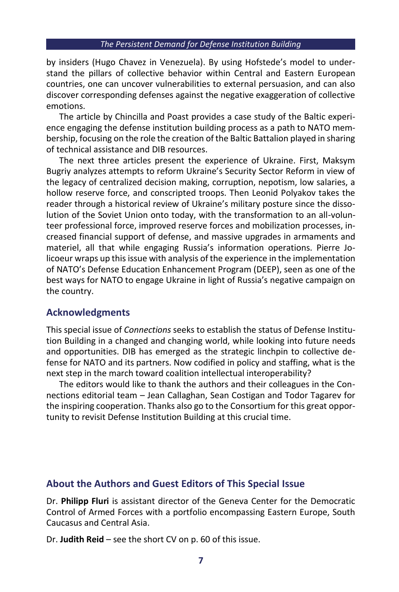by insiders (Hugo Chavez in Venezuela). By using Hofstede's model to understand the pillars of collective behavior within Central and Eastern European countries, one can uncover vulnerabilities to external persuasion, and can also discover corresponding defenses against the negative exaggeration of collective emotions.

The article by Chincilla and Poast provides a case study of the Baltic experience engaging the defense institution building process as a path to NATO membership, focusing on the role the creation of the Baltic Battalion played in sharing of technical assistance and DIB resources.

The next three articles present the experience of Ukraine. First, Maksym Bugriy analyzes attempts to reform Ukraine's Security Sector Reform in view of the legacy of centralized decision making, corruption, nepotism, low salaries, a hollow reserve force, and conscripted troops. Then Leonid Polyakov takes the reader through a historical review of Ukraine's military posture since the dissolution of the Soviet Union onto today, with the transformation to an all-volunteer professional force, improved reserve forces and mobilization processes, increased financial support of defense, and massive upgrades in armaments and materiel, all that while engaging Russia's information operations. Pierre Jolicoeur wraps up this issue with analysis of the experience in the implementation of NATO's Defense Education Enhancement Program (DEEP), seen as one of the best ways for NATO to engage Ukraine in light of Russia's negative campaign on the country.

#### **Acknowledgments**

This special issue of *Connections* seeks to establish the status of Defense Institution Building in a changed and changing world, while looking into future needs and opportunities. DIB has emerged as the strategic linchpin to collective defense for NATO and its partners. Now codified in policy and staffing, what is the next step in the march toward coalition intellectual interoperability?

The editors would like to thank the authors and their colleagues in the Connections editorial team – Jean Callaghan, Sean Costigan and Todor Tagarev for the inspiring cooperation. Thanks also go to the Consortium for this great opportunity to revisit Defense Institution Building at this crucial time.

#### **About the Authors and Guest Editors of This Special Issue**

Dr. **Philipp Fluri** is assistant director of the Geneva Center for the Democratic Control of Armed Forces with a portfolio encompassing Eastern Europe, South Caucasus and Central Asia.

Dr. **Judith Reid** – see the short CV on p. 60 of this issue.